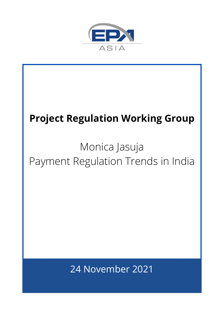

# 24 November 2021 **Project Regulation Working Group** Monica Jasuja Payment Regulation Trends in India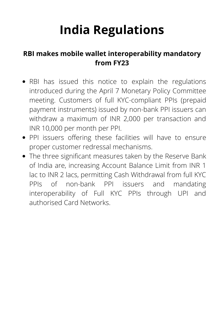#### **RBI makes mobile wallet interoperability mandatory from FY23**

- RBI has issued this notice to explain the regulations introduced during the April 7 Monetary Policy Committee meeting. Customers of full KYC-compliant PPIs (prepaid payment instruments) issued by non-bank PPI issuers can withdraw a maximum of INR 2,000 per transaction and INR 10,000 per month per PPI.
- PPI issuers offering these facilities will have to ensure proper customer redressal mechanisms.
- The three significant measures taken by the Reserve Bank of India are, increasing Account Balance Limit from INR 1 lac to INR 2 lacs, permitting Cash Withdrawal from full KYC PPIs of non-bank PPI issuers and mandating interoperability of Full KYC PPIs through UPI and authorised Card Networks.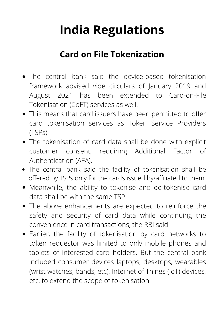#### **Card on File Tokenization**

- The central bank said the device-based tokenisation framework advised vide circulars of January 2019 and August 2021 has been extended to Card-on-File Tokenisation (CoFT) services as well.
- This means that card issuers have been permitted to offer card tokenisation services as Token Service Providers (TSPs).
- The tokenisation of card data shall be done with explicit customer consent, requiring Additional Factor of Authentication (AFA).
- The central bank said the facility of tokenisation shall be offered by TSPs only for the cards issued by/affiliated to them.
- Meanwhile, the ability to tokenise and de-tokenise card data shall be with the same TSP.
- The above enhancements are expected to reinforce the safety and security of card data while continuing the convenience in card transactions, the RBI said.
- Earlier, the facility of tokenisation by card networks to token requestor was limited to only mobile phones and tablets of interested card holders. But the central bank included consumer devices laptops, desktops, wearables (wrist watches, bands, etc), Internet of Things (IoT) devices, etc, to extend the scope of tokenisation.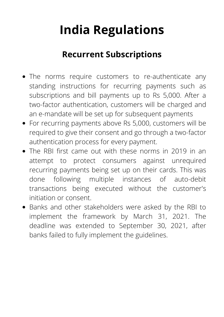#### **Recurrent Subscriptions**

- The norms require customers to re-authenticate any standing instructions for recurring payments such as subscriptions and bill payments up to Rs 5,000. After a two-factor authentication, customers will be charged and an e-mandate will be set up for subsequent payments
- For recurring payments above Rs 5,000, customers will be required to give their consent and go through a two-factor authentication process for every payment.
- The RBI first came out with these norms in 2019 in an attempt to protect consumers against unrequired recurring payments being set up on their cards. This was done following multiple instances of auto-debit transactions being executed without the customer's initiation or consent.
- Banks and other stakeholders were asked by the RBI to implement the framework by March 31, 2021. The deadline was extended to September 30, 2021, after banks failed to fully implement the guidelines.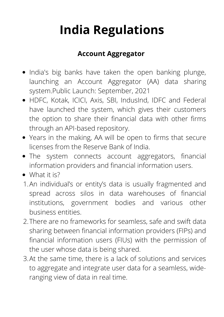#### **Account Aggregator**

- India's big banks have taken the open banking plunge, launching an Account Aggregator (AA) data sharing system.Public Launch: September, 2021
- HDFC, Kotak, ICICI, Axis, SBI, IndusInd, IDFC and Federal have launched the system, which gives their customers the option to share their financial data with other firms through an API-based repository.
- Years in the making, AA will be open to firms that secure licenses from the Reserve Bank of India.
- The system connects account aggregators, financial information providers and financial information users.
- What it is?
- 1. An individual's or entity's data is usually fragmented and spread across silos in data warehouses of financial institutions, government bodies and various other business entities.
- There are no frameworks for seamless, safe and swift data 2. sharing between financial information providers (FIPs) and financial information users (FIUs) with the permission of the user whose data is being shared.
- At the same time, there is a lack of solutions and services 3.to aggregate and integrate user data for a seamless, wideranging view of data in real time.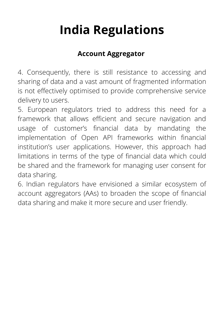#### **Account Aggregator**

4. Consequently, there is still resistance to accessing and sharing of data and a vast amount of fragmented information is not effectively optimised to provide comprehensive service delivery to users.

5. European regulators tried to address this need for a framework that allows efficient and secure navigation and usage of customer's financial data by mandating the implementation of Open API frameworks within financial institution's user applications. However, this approach had limitations in terms of the type of financial data which could be shared and the framework for managing user consent for data sharing.

6. Indian regulators have envisioned a similar ecosystem of account aggregators (AAs) to broaden the scope of financial data sharing and make it more secure and user friendly.